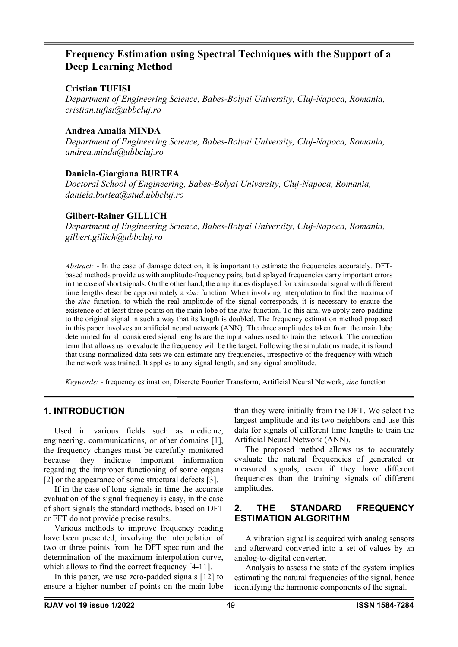# **Frequency Estimation using Spectral Techniques with the Support of a Deep Learning Method**

### **Cristian TUFISI**

*Department of Engineering Science, Babes-Bolyai University, Cluj-Napoca, Romania, cristian.tufisi@ubbcluj.ro*

### **Andrea Amalia MINDA**

*Department of Engineering Science, Babes-Bolyai University, Cluj-Napoca, Romania, andrea.minda@ubbcluj.ro*

### **Daniela-Giorgiana BURTEA**

*Doctoral School of Engineering, Babes-Bolyai University, Cluj-Napoca, Romania, daniela.burtea@stud.ubbcluj.ro*

### **Gilbert-Rainer GILLICH**

*Department of Engineering Science, Babes-Bolyai University, Cluj-Napoca, Romania, gilbert.gillich@ubbcluj.ro*

*Abstract:* - In the case of damage detection, it is important to estimate the frequencies accurately. DFTbased methods provide us with amplitude-frequency pairs, but displayed frequencies carry important errors in the case of short signals. On the other hand, the amplitudes displayed for a sinusoidal signal with different time lengths describe approximately a *sinc* function. When involving interpolation to find the maxima of the *sinc* function, to which the real amplitude of the signal corresponds, it is necessary to ensure the existence of at least three points on the main lobe of the *sinc* function. To this aim, we apply zero-padding to the original signal in such a way that its length is doubled. The frequency estimation method proposed in this paper involves an artificial neural network (ANN). The three amplitudes taken from the main lobe determined for all considered signal lengths are the input values used to train the network. The correction term that allows us to evaluate the frequency will be the target. Following the simulations made, it is found that using normalized data sets we can estimate any frequencies, irrespective of the frequency with which the network was trained. It applies to any signal length, and any signal amplitude.

*Keywords:* - frequency estimation, Discrete Fourier Transform, Artificial Neural Network, *sinc* function

### **1. INTRODUCTION**

Used in various fields such as medicine, engineering, communications, or other domains [1], the frequency changes must be carefully monitored because they indicate important information regarding the improper functioning of some organs [2] or the appearance of some structural defects [3].

If in the case of long signals in time the accurate evaluation of the signal frequency is easy, in the case of short signals the standard methods, based on DFT or FFT do not provide precise results.

Various methods to improve frequency reading have been presented, involving the interpolation of two or three points from the DFT spectrum and the determination of the maximum interpolation curve, which allows to find the correct frequency [4-11].

In this paper, we use zero-padded signals [12] to ensure a higher number of points on the main lobe than they were initially from the DFT. We select the largest amplitude and its two neighbors and use this data for signals of different time lengths to train the Artificial Neural Network (ANN).

The proposed method allows us to accurately evaluate the natural frequencies of generated or measured signals, even if they have different frequencies than the training signals of different amplitudes.

## **2. THE STANDARD FREQUENCY ESTIMATION ALGORITHM**

A vibration signal is acquired with analog sensors and afterward converted into a set of values by an analog-to-digital converter.

Analysis to assess the state of the system implies estimating the natural frequencies of the signal, hence identifying the harmonic components of the signal.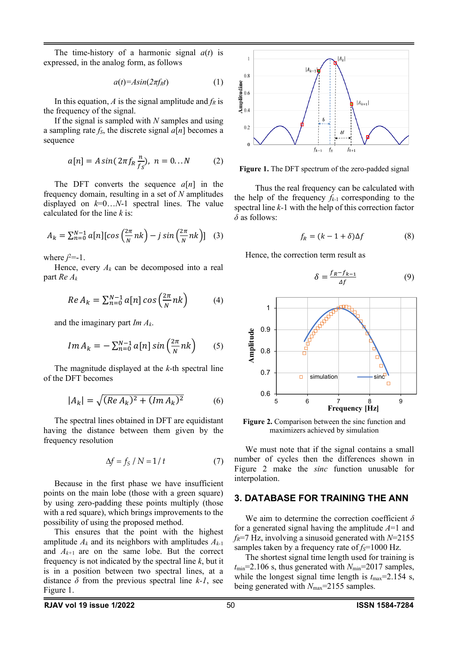The time-history of a harmonic signal  $a(t)$  is expressed, in the analog form, as follows

$$
a(t) = Asin(2\pi f_R t) \tag{1}
$$

In this equation,  $A$  is the signal amplitude and  $f_R$  is the frequency of the signal.

If the signal is sampled with *N* samples and using a sampling rate  $f_s$ , the discrete signal  $a[n]$  becomes a sequence

$$
a[n] = A \sin(2\pi f_R \frac{n}{f_S}), \ n = 0...N \tag{2}
$$

The DFT converts the sequence *a*[*n*] in the frequency domain, resulting in a set of *N* amplitudes displayed on *k*=0…*N*-1 spectral lines. The value calculated for the line *k* is:

$$
A_k = \sum_{n=0}^{N-1} a[n] [\cos\left(\frac{2\pi}{N}nk\right) - j \sin\left(\frac{2\pi}{N}nk\right)] \quad (3)
$$

where  $j^2$ =-1.

Hence, every  $A_k$  can be decomposed into a real part *Re Ak*

$$
Re A_k = \sum_{n=0}^{N-1} a[n] \cos\left(\frac{2\pi}{N}nk\right) \tag{4}
$$

and the imaginary part *Im Ak*.

$$
Im A_k = -\sum_{n=0}^{N-1} a[n] \sin\left(\frac{2\pi}{N}nk\right) \qquad (5)
$$

The magnitude displayed at the *k*-th spectral line of the DFT becomes

$$
|A_k| = \sqrt{(Re A_k)^2 + (Im A_k)^2}
$$
 (6)

The spectral lines obtained in DFT are equidistant having the distance between them given by the frequency resolution

$$
\Delta f = f_S / N = 1 / t \tag{7}
$$

Because in the first phase we have insufficient points on the main lobe (those with a green square) by using zero-padding these points multiply (those with a red square), which brings improvements to the possibility of using the proposed method.

This ensures that the point with the highest amplitude  $A_k$  and its neighbors with amplitudes  $A_{k-1}$ and *Ak+*<sup>1</sup> are on the same lobe. But the correct frequency is not indicated by the spectral line *k*, but it is in a position between two spectral lines, at a distance  $\delta$  from the previous spectral line  $k-1$ , see Figure 1.



**Figure 1.** The DFT spectrum of the zero-padded signal

Thus the real frequency can be calculated with the help of the frequency  $f_{k-1}$  corresponding to the spectral line *k-*1 with the help of this correction factor *δ* as follows:

$$
f_R = (k - 1 + \delta)\Delta f \tag{8}
$$

Hence, the correction term result as

$$
\delta = \frac{f_R - f_{k-1}}{\Delta f} \tag{9}
$$



**Figure 2.** Comparison between the sinc function and maximizers achieved by simulation

We must note that if the signal contains a small number of cycles then the differences shown in Figure 2 make the *sinc* function unusable for interpolation.

#### **3. DATABASE FOR TRAINING THE ANN**

We aim to determine the correction coefficient *δ* for a generated signal having the amplitude *A*=1 and *fR*=7 Hz, involving a sinusoid generated with *N*=2155 samples taken by a frequency rate of  $f_s = 1000$  Hz.

The shortest signal time length used for training is  $t_{\text{min}}$ =2.106 s, thus generated with  $N_{\text{min}}$ =2017 samples, while the longest signal time length is  $t_{\text{max}}$ =2.154 s, being generated with *N*max=2155 samples.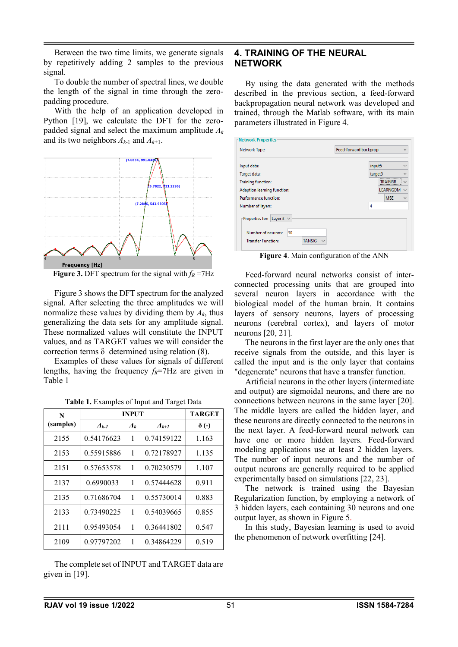Between the two time limits, we generate signals by repetitively adding 2 samples to the previous signal.

To double the number of spectral lines, we double the length of the signal in time through the zeropadding procedure.

With the help of an application developed in Python [19], we calculate the DFT for the zeropadded signal and select the maximum amplitude *Ak* and its two neighbors *Ak-*<sup>1</sup> and *Ak+*1.



**Figure 3.** DFT spectrum for the signal with  $f_R = 7$ Hz

Figure 3 shows the DFT spectrum for the analyzed signal. After selecting the three amplitudes we will normalize these values by dividing them by *Ak*, thus generalizing the data sets for any amplitude signal. These normalized values will constitute the INPUT values, and as TARGET values we will consider the correction terms δ determined using relation (8).

Examples of these values for signals of different lengths, having the frequency  $f_R$ =7Hz are given in Table 1

| N         | <b>INPUT</b> | <b>TARGET</b> |            |              |
|-----------|--------------|---------------|------------|--------------|
| (samples) | $A_{k-1}$    | $A_k$         | $A_{k+1}$  | $\delta$ (-) |
| 2155      | 0.54176623   | 1             | 0.74159122 | 1.163        |
| 2153      | 0.55915886   | 1             | 0.72178927 | 1.135        |
| 2151      | 0.57653578   | 1             | 0.70230579 | 1.107        |
| 2137      | 0.6990033    | 1             | 0.57444628 | 0.911        |
| 2135      | 0.71686704   | 1             | 0.55730014 | 0.883        |
| 2133      | 0.73490225   | 1             | 0.54039665 | 0.855        |
| 2111      | 0.95493054   | 1             | 0.36441802 | 0.547        |
| 2109      | 0.97797202   | 1             | 0.34864229 | 0.519        |

The complete set of INPUT and TARGET data are given in [19].

### **4. TRAINING OF THE NEURAL NETWORK**

By using the data generated with the methods described in the previous section, a feed-forward backpropagation neural network was developed and trained, through the Matlab software, with its main parameters illustrated in Figure 4.

| Network Type:                       |              | Feed-forward backprop |                                 |  |  |  |
|-------------------------------------|--------------|-----------------------|---------------------------------|--|--|--|
| Input data:                         |              | input5                | $\checkmark$                    |  |  |  |
| Target data:                        |              | target5               | $\checkmark$                    |  |  |  |
| <b>Training function:</b>           |              |                       | <b>TRAINBR</b><br>$\checkmark$  |  |  |  |
| Adaption learning function:         |              |                       | <b>LEARNGDM</b><br>$\checkmark$ |  |  |  |
| Performance function:               |              |                       | <b>MSE</b><br>$\checkmark$      |  |  |  |
| Number of layers:                   |              | 4                     |                                 |  |  |  |
| Properties for: Layer $3 \vee$      |              |                       |                                 |  |  |  |
| Number of neurons:<br>30            |              |                       |                                 |  |  |  |
| <b>Transfer Function:</b><br>TANSIG | $\checkmark$ |                       |                                 |  |  |  |

**Figure 4**. Main configuration of the ANN

Feed-forward neural networks consist of interconnected processing units that are grouped into several neuron layers in accordance with the biological model of the human brain. It contains layers of sensory neurons, layers of processing neurons (cerebral cortex), and layers of motor neurons [20, 21].

The neurons in the first layer are the only ones that receive signals from the outside, and this layer is called the input and is the only layer that contains "degenerate" neurons that have a transfer function.

Artificial neurons in the other layers (intermediate and output) are sigmoidal neurons, and there are no connections between neurons in the same layer [20]. The middle layers are called the hidden layer, and these neurons are directly connected to the neurons in the next layer. A feed-forward neural network can have one or more hidden layers. Feed-forward modeling applications use at least 2 hidden layers. The number of input neurons and the number of output neurons are generally required to be applied experimentally based on simulations [22, 23].

The network is trained using the Bayesian Regularization function, by employing a network of 3 hidden layers, each containing 30 neurons and one output layer, as shown in Figure 5.

In this study, Bayesian learning is used to avoid the phenomenon of network overfitting [24].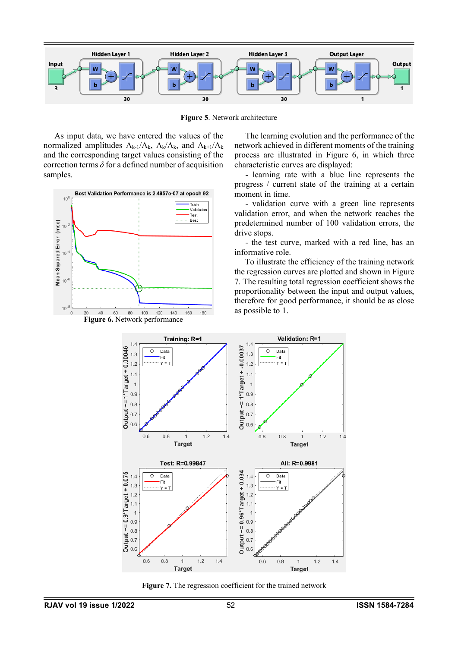

**Figure 5**. Network architecture

As input data, we have entered the values of the normalized amplitudes  $A_{k-1}/A_k$ ,  $A_k/A_k$ , and  $A_{k+1}/A_k$ and the corresponding target values consisting of the correction terms  $\delta$  for a defined number of acquisition samples.



The learning evolution and the performance of the network achieved in different moments of the training process are illustrated in Figure 6, in which three characteristic curves are displayed:

- learning rate with a blue line represents the progress / current state of the training at a certain moment in time.

- validation curve with a green line represents validation error, and when the network reaches the predetermined number of 100 validation errors, the drive stops.

- the test curve, marked with a red line, has an informative role.

To illustrate the efficiency of the training network the regression curves are plotted and shown in Figure 7. The resulting total regression coefficient shows the proportionality between the input and output values, therefore for good performance, it should be as close as possible to 1.



**Figure 7.** The regression coefficient for the trained network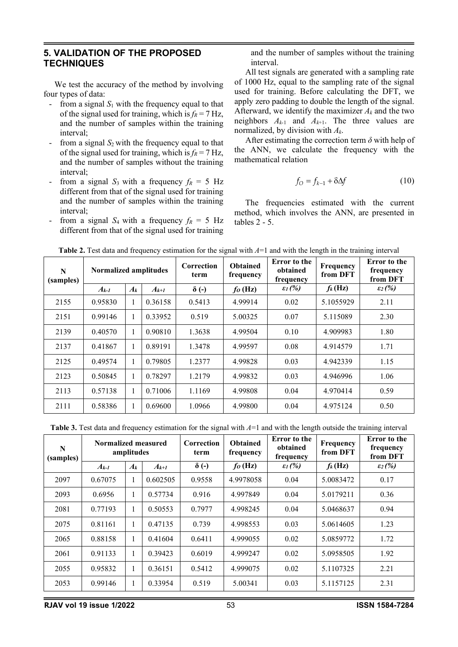### **5. VALIDATION OF THE PROPOSED TECHNIQUES**

We test the accuracy of the method by involving four types of data:

- from a signal  $S_1$  with the frequency equal to that of the signal used for training, which is  $f_R = 7$  Hz, and the number of samples within the training interval;
- from a signal  $S_2$  with the frequency equal to that of the signal used for training, which is  $f_R = 7$  Hz, and the number of samples without the training interval;
- from a signal  $S_3$  with a frequency  $f_R = 5$  Hz different from that of the signal used for training and the number of samples within the training interval;
- from a signal  $S_4$  with a frequency  $f_R = 5$  Hz different from that of the signal used for training

and the number of samples without the training interval.

All test signals are generated with a sampling rate of 1000 Hz, equal to the sampling rate of the signal used for training. Before calculating the DFT, we apply zero padding to double the length of the signal. Afterward, we identify the maximizer *Ak* and the two neighbors  $A_{k-1}$  and  $A_{k+1}$ . The three values are normalized, by division with *Ak*.

After estimating the correction term *δ* with help of the ANN, we calculate the frequency with the mathematical relation

$$
f_{\mathcal{O}} = f_{k-1} + \delta \Delta f \tag{10}
$$

The frequencies estimated with the current method, which involves the ANN, are presented in tables 2 - 5.

| N<br>(samples) | Normalized amplitudes |              |           | Correction<br>term | <b>Obtained</b><br>frequency | <b>Error</b> to the<br>obtained<br>frequency | Frequency<br>from DFT | <b>Error</b> to the<br>frequency<br>from DFT |
|----------------|-----------------------|--------------|-----------|--------------------|------------------------------|----------------------------------------------|-----------------------|----------------------------------------------|
|                | $A_{k-1}$             | $A_k$        | $A_{k+1}$ | $\delta$ (-)       | $f_0$ (Hz)                   | $\mathcal{E}_1(\%)$                          | $f_k(Hz)$             | $\varepsilon_2$ (%)                          |
| 2155           | 0.95830               | 1            | 0.36158   | 0.5413             | 4.99914                      | 0.02                                         | 5.1055929             | 2.11                                         |
| 2151           | 0.99146               | $\mathbf{1}$ | 0.33952   | 0.519              | 5.00325                      | 0.07                                         | 5.115089              | 2.30                                         |
| 2139           | 0.40570               | 1            | 0.90810   | 1.3638             | 4.99504                      | 0.10                                         | 4.909983              | 1.80                                         |
| 2137           | 0.41867               | 1            | 0.89191   | 1.3478             | 4.99597                      | 0.08                                         | 4.914579              | 1.71                                         |
| 2125           | 0.49574               | 1            | 0.79805   | 1.2377             | 4.99828                      | 0.03                                         | 4.942339              | 1.15                                         |
| 2123           | 0.50845               | 1            | 0.78297   | 1.2179             | 4.99832                      | 0.03                                         | 4.946996              | 1.06                                         |
| 2113           | 0.57138               | 1            | 0.71006   | 1.1169             | 4.99808                      | 0.04                                         | 4.970414              | 0.59                                         |
| 2111           | 0.58386               | $\mathbf{1}$ | 0.69600   | 1.0966             | 4.99800                      | 0.04                                         | 4.975124              | 0.50                                         |

**Table 2.** Test data and frequency estimation for the signal with  $A=1$  and with the length in the training interval

**Table 3.** Test data and frequency estimation for the signal with  $A=1$  and with the length outside the training interval

| $\mathbf N$<br>(samples) | Normalized measured | amplitudes   |           | Correction<br>term | <b>Obtained</b><br>frequency | <b>Error</b> to the<br>obtained<br>frequency | Frequency<br>from DFT | <b>Error</b> to the<br>frequency<br>from DFT |
|--------------------------|---------------------|--------------|-----------|--------------------|------------------------------|----------------------------------------------|-----------------------|----------------------------------------------|
|                          | $A_{k-1}$           | $A_k$        | $A_{k+1}$ | $\delta$ (-)       | $f_0$ (Hz)                   | $\mathcal{E}_1(\%)$                          | $f_k(Hz)$             | $\mathcal{E}_2(\%)$                          |
| 2097                     | 0.67075             | 1            | 0.602505  | 0.9558             | 4.9978058                    | 0.04                                         | 5.0083472             | 0.17                                         |
| 2093                     | 0.6956              | 1            | 0.57734   | 0.916              | 4.997849                     | 0.04                                         | 5.0179211             | 0.36                                         |
| 2081                     | 0.77193             | 1            | 0.50553   | 0.7977             | 4.998245                     | 0.04                                         | 5.0468637             | 0.94                                         |
| 2075                     | 0.81161             | $\mathbf{1}$ | 0.47135   | 0.739              | 4.998553                     | 0.03                                         | 5.0614605             | 1.23                                         |
| 2065                     | 0.88158             | 1            | 0.41604   | 0.6411             | 4.999055                     | 0.02                                         | 5.0859772             | 1.72                                         |
| 2061                     | 0.91133             | 1            | 0.39423   | 0.6019             | 4.999247                     | 0.02                                         | 5.0958505             | 1.92                                         |
| 2055                     | 0.95832             | $\mathbf{1}$ | 0.36151   | 0.5412             | 4.999075                     | 0.02                                         | 5.1107325             | 2.21                                         |
| 2053                     | 0.99146             | $\mathbf{1}$ | 0.33954   | 0.519              | 5.00341                      | 0.03                                         | 5.1157125             | 2.31                                         |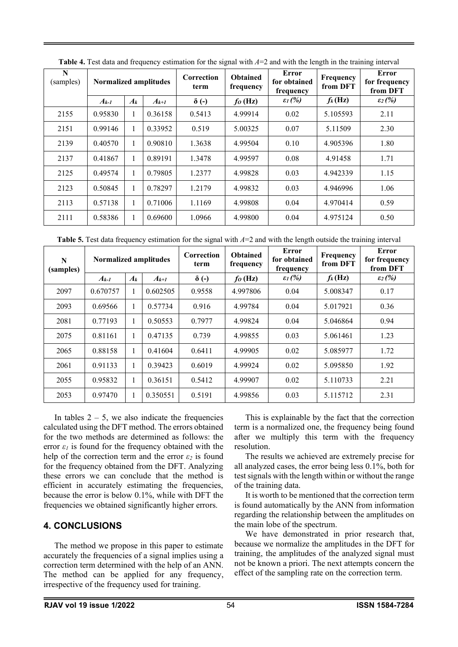| N<br>(samples) | Normalized amplitudes |              | Correction<br>term | <b>Obtained</b><br>frequency | Error<br>for obtained<br>frequency | Frequency<br>from DFT | <b>Error</b><br>for frequency<br>from DFT |                     |
|----------------|-----------------------|--------------|--------------------|------------------------------|------------------------------------|-----------------------|-------------------------------------------|---------------------|
|                | $A_{k-1}$             | $A_k$        | $A_{k+1}$          | $\delta$ (-)                 | $f_0$ (Hz)                         | $\mathcal{E}_1(\%)$   | $f_k(Hz)$                                 | $\mathcal{E}_2(\%)$ |
| 2155           | 0.95830               | 1            | 0.36158            | 0.5413                       | 4.99914                            | 0.02                  | 5.105593                                  | 2.11                |
| 2151           | 0.99146               | 1            | 0.33952            | 0.519                        | 5.00325                            | 0.07                  | 5.11509                                   | 2.30                |
| 2139           | 0.40570               | 1            | 0.90810            | 1.3638                       | 4.99504                            | 0.10                  | 4.905396                                  | 1.80                |
| 2137           | 0.41867               | 1            | 0.89191            | 1.3478                       | 4.99597                            | 0.08                  | 4.91458                                   | 1.71                |
| 2125           | 0.49574               | 1            | 0.79805            | 1.2377                       | 4.99828                            | 0.03                  | 4.942339                                  | 1.15                |
| 2123           | 0.50845               | 1            | 0.78297            | 1.2179                       | 4.99832                            | 0.03                  | 4.946996                                  | 1.06                |
| 2113           | 0.57138               | 1            | 0.71006            | 1.1169                       | 4.99808                            | 0.04                  | 4.970414                                  | 0.59                |
| 2111           | 0.58386               | $\mathbf{1}$ | 0.69600            | 1.0966                       | 4.99800                            | 0.04                  | 4.975124                                  | 0.50                |

**Table 4.** Test data and frequency estimation for the signal with  $A=2$  and with the length in the training interval

**Table 5.** Test data frequency estimation for the signal with *A*=2 and with the length outside the training interval

| N<br>(samples) | <b>Normalized amplitudes</b> |       |           | Correction<br>term | <b>Obtained</b><br>frequency | Error<br>Frequency<br>for obtained<br>frequency |           | Error<br>for frequency<br>from DFT |
|----------------|------------------------------|-------|-----------|--------------------|------------------------------|-------------------------------------------------|-----------|------------------------------------|
|                | $A_{k-1}$                    | $A_k$ | $A_{k+1}$ | $\delta$ (-)       | $fo$ (Hz)                    | $\varepsilon_l$ (%)                             | $f_k(Hz)$ | $\mathcal{E}_2(\%)$                |
| 2097           | 0.670757                     | 1     | 0.602505  | 0.9558             | 4.997806                     | 0.04                                            | 5.008347  | 0.17                               |
| 2093           | 0.69566                      | 1     | 0.57734   | 0.916              | 4.99784                      | 0.04                                            | 5.017921  | 0.36                               |
| 2081           | 0.77193                      | 1     | 0.50553   | 0.7977             | 4.99824                      | 0.04                                            | 5.046864  | 0.94                               |
| 2075           | 0.81161                      | 1     | 0.47135   | 0.739              | 4.99855                      | 0.03                                            | 5.061461  | 1.23                               |
| 2065           | 0.88158                      | 1     | 0.41604   | 0.6411             | 4.99905                      | 0.02                                            | 5.085977  | 1.72                               |
| 2061           | 0.91133                      | 1     | 0.39423   | 0.6019             | 4.99924                      | 0.02                                            | 5.095850  | 1.92                               |
| 2055           | 0.95832                      | 1     | 0.36151   | 0.5412             | 4.99907                      | 0.02                                            | 5.110733  | 2.21                               |
| 2053           | 0.97470                      | 1     | 0.350551  | 0.5191             | 4.99856                      | 0.03                                            | 5.115712  | 2.31                               |

In tables  $2 - 5$ , we also indicate the frequencies calculated using the DFT method. The errors obtained for the two methods are determined as follows: the error  $\varepsilon_l$  is found for the frequency obtained with the help of the correction term and the error  $\varepsilon_2$  is found for the frequency obtained from the DFT. Analyzing these errors we can conclude that the method is efficient in accurately estimating the frequencies, because the error is below 0.1%, while with DFT the frequencies we obtained significantly higher errors.

## **4. CONCLUSIONS**

The method we propose in this paper to estimate accurately the frequencies of a signal implies using a correction term determined with the help of an ANN. The method can be applied for any frequency, irrespective of the frequency used for training.

This is explainable by the fact that the correction term is a normalized one, the frequency being found after we multiply this term with the frequency resolution.

The results we achieved are extremely precise for all analyzed cases, the error being less 0.1%, both for test signals with the length within or without the range of the training data.

It is worth to be mentioned that the correction term is found automatically by the ANN from information regarding the relationship between the amplitudes on the main lobe of the spectrum.

We have demonstrated in prior research that, because we normalize the amplitudes in the DFT for training, the amplitudes of the analyzed signal must not be known a priori. The next attempts concern the effect of the sampling rate on the correction term.